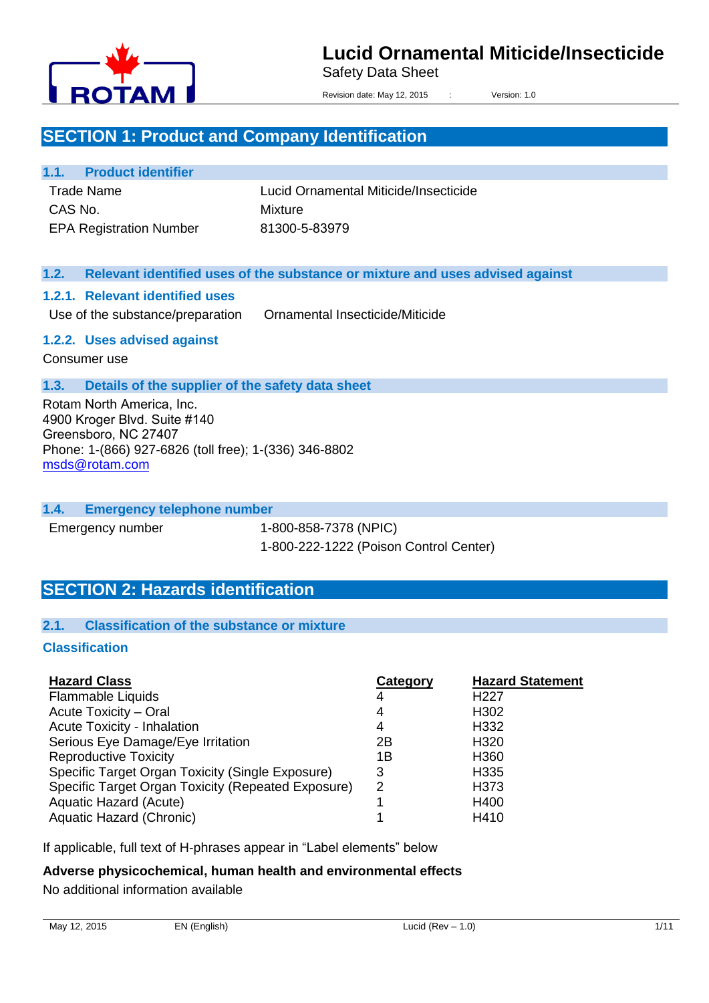

Safety Data Sheet

Revision date: May 12, 2015 : Version: 1.0

## **SECTION 1: Product and Company Identification**

#### **1.1. Product identifier**

Trade Name CAS No. EPA Registration Number Lucid Ornamental Miticide/Insecticide Mixture 81300-5-83979

#### **1.2. Relevant identified uses of the substance or mixture and uses advised against**

#### **1.2.1. Relevant identified uses**

Use of the substance/preparation Ornamental Insecticide/Miticide

#### **1.2.2. Uses advised against**

Consumer use

#### **1.3. Details of the supplier of the safety data sheet**

Rotam North America, Inc. 4900 Kroger Blvd. Suite #140 Greensboro, NC 27407 Phone: 1-(866) 927-6826 (toll free); 1-(336) 346-8802 msds@rotam.com

#### **1.4. Emergency telephone number**

Emergency number 1-800-858-7378 (NPIC) 1-800-222-1222 (Poison Control Center)

## **SECTION 2: Hazards identification**

#### **2.1. Classification of the substance or mixture**

#### **Classification**

| <b>Hazard Class</b>                                | Category | <b>Hazard Statement</b> |
|----------------------------------------------------|----------|-------------------------|
| <b>Flammable Liquids</b>                           | 4        | H <sub>22</sub> 7       |
| Acute Toxicity - Oral                              | 4        | H302                    |
| <b>Acute Toxicity - Inhalation</b>                 | 4        | H332                    |
| Serious Eye Damage/Eye Irritation                  | 2Β       | H <sub>320</sub>        |
| <b>Reproductive Toxicity</b>                       | 1Β       | H <sub>360</sub>        |
| Specific Target Organ Toxicity (Single Exposure)   | 3        | H335                    |
| Specific Target Organ Toxicity (Repeated Exposure) | 2        | H <sub>3</sub> 73       |
| Aquatic Hazard (Acute)                             |          | H400                    |
| Aquatic Hazard (Chronic)                           |          | H410                    |

If applicable, full text of H-phrases appear in "Label elements" below

#### **Adverse physicochemical, human health and environmental effects**

No additional information available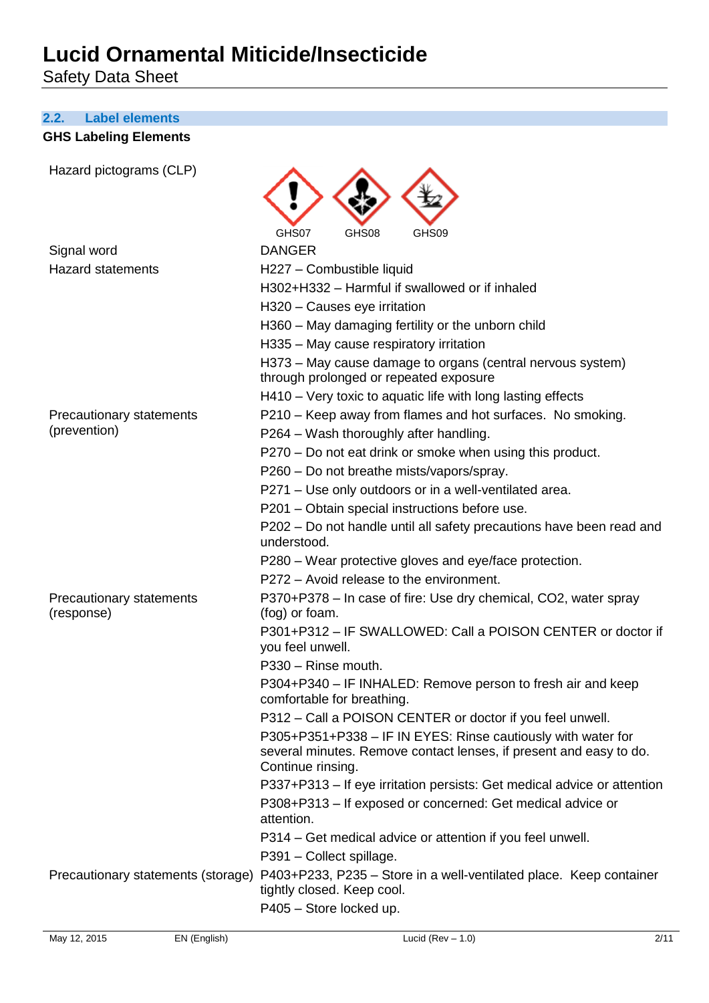Safety Data Sheet

#### **2.2. Label elements**

### **GHS Labeling Elements**

| Hazard pictograms (CLP)                |                                                                                                                                                         |
|----------------------------------------|---------------------------------------------------------------------------------------------------------------------------------------------------------|
|                                        | GHS07<br>GHS09<br>GHS08                                                                                                                                 |
| Signal word                            | <b>DANGER</b>                                                                                                                                           |
| <b>Hazard statements</b>               | H227 - Combustible liquid                                                                                                                               |
|                                        | H302+H332 - Harmful if swallowed or if inhaled                                                                                                          |
|                                        | H320 - Causes eye irritation                                                                                                                            |
|                                        | H360 - May damaging fertility or the unborn child                                                                                                       |
|                                        | H335 - May cause respiratory irritation                                                                                                                 |
|                                        | H373 – May cause damage to organs (central nervous system)<br>through prolonged or repeated exposure                                                    |
|                                        | H410 - Very toxic to aquatic life with long lasting effects                                                                                             |
| Precautionary statements               | P210 - Keep away from flames and hot surfaces. No smoking.                                                                                              |
| (prevention)                           | P264 - Wash thoroughly after handling.                                                                                                                  |
|                                        | P270 - Do not eat drink or smoke when using this product.                                                                                               |
|                                        | P260 – Do not breathe mists/vapors/spray.                                                                                                               |
|                                        | P271 - Use only outdoors or in a well-ventilated area.                                                                                                  |
|                                        | P201 - Obtain special instructions before use.                                                                                                          |
|                                        | P202 – Do not handle until all safety precautions have been read and<br>understood.                                                                     |
|                                        | P280 – Wear protective gloves and eye/face protection.                                                                                                  |
|                                        | P272 - Avoid release to the environment.                                                                                                                |
| Precautionary statements<br>(response) | P370+P378 – In case of fire: Use dry chemical, CO2, water spray<br>(fog) or foam.                                                                       |
|                                        | P301+P312 - IF SWALLOWED: Call a POISON CENTER or doctor if<br>you feel unwell.                                                                         |
|                                        | P330 - Rinse mouth.                                                                                                                                     |
|                                        | P304+P340 - IF INHALED: Remove person to fresh air and keep<br>comfortable for breathing.                                                               |
|                                        | P312 - Call a POISON CENTER or doctor if you feel unwell.                                                                                               |
|                                        | P305+P351+P338 - IF IN EYES: Rinse cautiously with water for<br>several minutes. Remove contact lenses, if present and easy to do.<br>Continue rinsing. |
|                                        | P337+P313 - If eye irritation persists: Get medical advice or attention                                                                                 |
|                                        | P308+P313 - If exposed or concerned: Get medical advice or<br>attention.                                                                                |
|                                        | P314 – Get medical advice or attention if you feel unwell.                                                                                              |
|                                        | P391 - Collect spillage.                                                                                                                                |
| Precautionary statements (storage)     | P403+P233, P235 - Store in a well-ventilated place. Keep container<br>tightly closed. Keep cool.                                                        |
|                                        | P405 - Store locked up.                                                                                                                                 |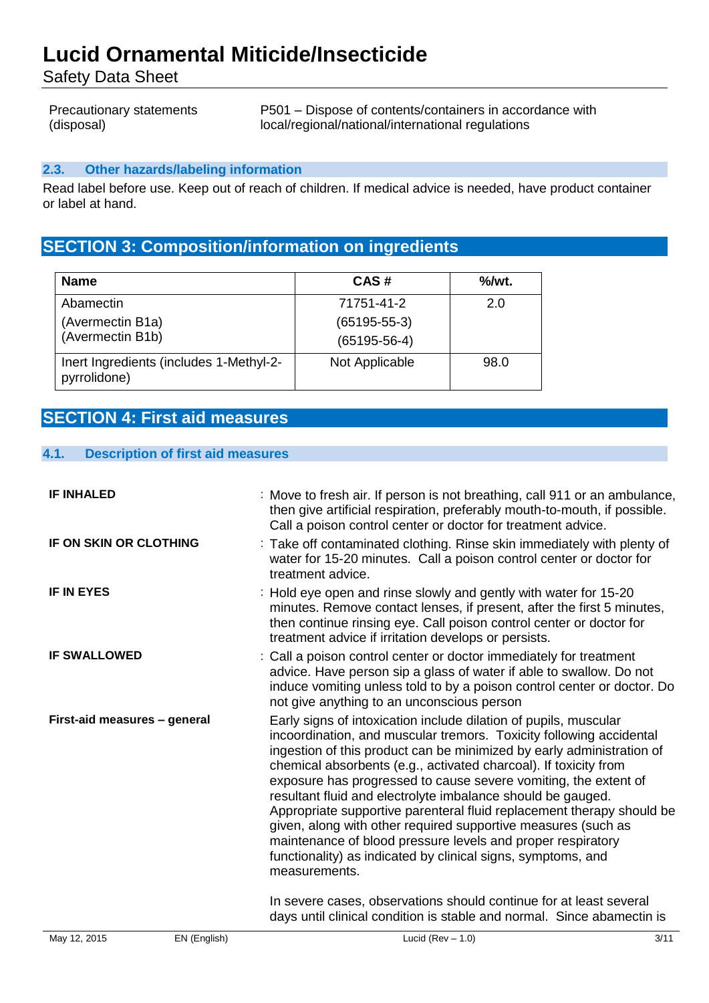Safety Data Sheet

| <b>Precautionary statements</b> | P501 – Dispose of contents/containers in accordance with |
|---------------------------------|----------------------------------------------------------|
| (disposal)                      | local/regional/national/international regulations        |

#### **2.3. Other hazards/labeling information**

Read label before use. Keep out of reach of children. If medical advice is needed, have product container or label at hand.

## **SECTION 3: Composition/information on ingredients**

| <b>Name</b>                                             | CAS#               | $\%$ /wt. |
|---------------------------------------------------------|--------------------|-----------|
| Abamectin                                               | 71751-41-2         | 2.0       |
| (Avermectin B1a)                                        | $(65195 - 55 - 3)$ |           |
| (Avermectin B1b)                                        | $(65195 - 56 - 4)$ |           |
| Inert Ingredients (includes 1-Methyl-2-<br>pyrrolidone) | Not Applicable     | 98.0      |

## **SECTION 4: First aid measures**

| <b>Description of first aid measures</b><br>4.1. |  |
|--------------------------------------------------|--|
|--------------------------------------------------|--|

| <b>IF INHALED</b>             |              | : Move to fresh air. If person is not breathing, call 911 or an ambulance,<br>then give artificial respiration, preferably mouth-to-mouth, if possible.<br>Call a poison control center or doctor for treatment advice.                                                                                                                                                                                                                                                                                                                                                                                                                                                                                          |      |
|-------------------------------|--------------|------------------------------------------------------------------------------------------------------------------------------------------------------------------------------------------------------------------------------------------------------------------------------------------------------------------------------------------------------------------------------------------------------------------------------------------------------------------------------------------------------------------------------------------------------------------------------------------------------------------------------------------------------------------------------------------------------------------|------|
| <b>IF ON SKIN OR CLOTHING</b> |              | : Take off contaminated clothing. Rinse skin immediately with plenty of<br>water for 15-20 minutes. Call a poison control center or doctor for<br>treatment advice.                                                                                                                                                                                                                                                                                                                                                                                                                                                                                                                                              |      |
| <b>IF IN EYES</b>             |              | : Hold eye open and rinse slowly and gently with water for 15-20<br>minutes. Remove contact lenses, if present, after the first 5 minutes,<br>then continue rinsing eye. Call poison control center or doctor for<br>treatment advice if irritation develops or persists.                                                                                                                                                                                                                                                                                                                                                                                                                                        |      |
| <b>IF SWALLOWED</b>           |              | : Call a poison control center or doctor immediately for treatment<br>advice. Have person sip a glass of water if able to swallow. Do not<br>induce vomiting unless told to by a poison control center or doctor. Do<br>not give anything to an unconscious person                                                                                                                                                                                                                                                                                                                                                                                                                                               |      |
| First-aid measures - general  |              | Early signs of intoxication include dilation of pupils, muscular<br>incoordination, and muscular tremors. Toxicity following accidental<br>ingestion of this product can be minimized by early administration of<br>chemical absorbents (e.g., activated charcoal). If toxicity from<br>exposure has progressed to cause severe vomiting, the extent of<br>resultant fluid and electrolyte imbalance should be gauged.<br>Appropriate supportive parenteral fluid replacement therapy should be<br>given, along with other required supportive measures (such as<br>maintenance of blood pressure levels and proper respiratory<br>functionality) as indicated by clinical signs, symptoms, and<br>measurements. |      |
|                               |              | In severe cases, observations should continue for at least several<br>days until clinical condition is stable and normal. Since abamectin is                                                                                                                                                                                                                                                                                                                                                                                                                                                                                                                                                                     |      |
| May 12, 2015                  | EN (English) | Lucid (Rev $-1.0$ )                                                                                                                                                                                                                                                                                                                                                                                                                                                                                                                                                                                                                                                                                              | 3/11 |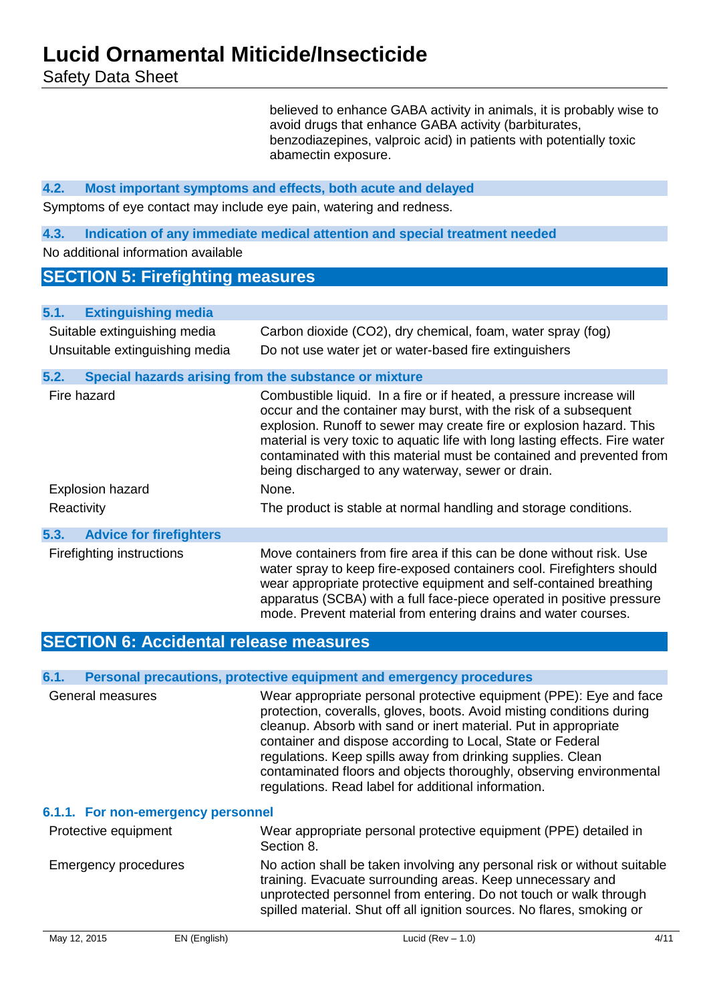Safety Data Sheet

believed to enhance GABA activity in animals, it is probably wise to avoid drugs that enhance GABA activity (barbiturates, benzodiazepines, valproic acid) in patients with potentially toxic abamectin exposure.

#### **4.2. Most important symptoms and effects, both acute and delayed**

Symptoms of eye contact may include eye pain, watering and redness.

#### **4.3. Indication of any immediate medical attention and special treatment needed**

No additional information available

### **SECTION 5: Firefighting measures**

| <b>Extinguishing media</b><br>5.1.     |                                                                                                                                                                                                                                                                                                                                                                                                                               |
|----------------------------------------|-------------------------------------------------------------------------------------------------------------------------------------------------------------------------------------------------------------------------------------------------------------------------------------------------------------------------------------------------------------------------------------------------------------------------------|
| Suitable extinguishing media           | Carbon dioxide (CO2), dry chemical, foam, water spray (fog)                                                                                                                                                                                                                                                                                                                                                                   |
| Unsuitable extinguishing media         | Do not use water jet or water-based fire extinguishers                                                                                                                                                                                                                                                                                                                                                                        |
| 5.2.                                   | Special hazards arising from the substance or mixture                                                                                                                                                                                                                                                                                                                                                                         |
| Fire hazard                            | Combustible liquid. In a fire or if heated, a pressure increase will<br>occur and the container may burst, with the risk of a subsequent<br>explosion. Runoff to sewer may create fire or explosion hazard. This<br>material is very toxic to aquatic life with long lasting effects. Fire water<br>contaminated with this material must be contained and prevented from<br>being discharged to any waterway, sewer or drain. |
| <b>Explosion hazard</b>                | None.                                                                                                                                                                                                                                                                                                                                                                                                                         |
| Reactivity                             | The product is stable at normal handling and storage conditions.                                                                                                                                                                                                                                                                                                                                                              |
| <b>Advice for firefighters</b><br>5.3. |                                                                                                                                                                                                                                                                                                                                                                                                                               |
| Firefighting instructions              | Move containers from fire area if this can be done without risk. Use<br>water spray to keep fire-exposed containers cool. Firefighters should<br>wear appropriate protective equipment and self-contained breathing<br>apparatus (SCBA) with a full face-piece operated in positive pressure<br>mode. Prevent material from entering drains and water courses.                                                                |

## **SECTION 6: Accidental release measures**

#### **6.1. Personal precautions, protective equipment and emergency procedures**

|                                    | י טוויטטאן אויטטארישן אויטוויט אין די טוויטוויג אויסטארישן אויטטארישן אויטטארי                                                                                                                                                                                                                                                                                                                                                                                            |
|------------------------------------|---------------------------------------------------------------------------------------------------------------------------------------------------------------------------------------------------------------------------------------------------------------------------------------------------------------------------------------------------------------------------------------------------------------------------------------------------------------------------|
| General measures                   | Wear appropriate personal protective equipment (PPE): Eye and face<br>protection, coveralls, gloves, boots. Avoid misting conditions during<br>cleanup. Absorb with sand or inert material. Put in appropriate<br>container and dispose according to Local, State or Federal<br>regulations. Keep spills away from drinking supplies. Clean<br>contaminated floors and objects thoroughly, observing environmental<br>regulations. Read label for additional information. |
| 6.1.1. For non-emergency personnel |                                                                                                                                                                                                                                                                                                                                                                                                                                                                           |
| Protective equipment               | Wear appropriate personal protective equipment (PPE) detailed in<br>Section 8.                                                                                                                                                                                                                                                                                                                                                                                            |
| <b>Emergency procedures</b>        | No action shall be taken involving any personal risk or without suitable<br>training. Evacuate surrounding areas. Keep unnecessary and<br>unprotected personnel from entering. Do not touch or walk through                                                                                                                                                                                                                                                               |

spilled material. Shut off all ignition sources. No flares, smoking or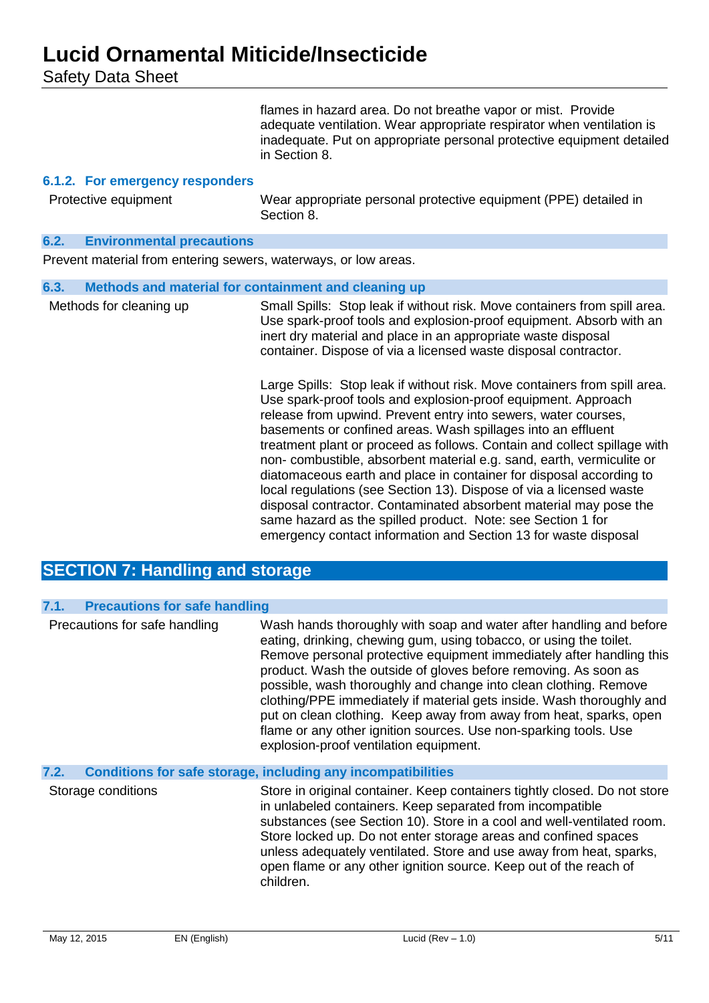Safety Data Sheet

flames in hazard area. Do not breathe vapor or mist. Provide adequate ventilation. Wear appropriate respirator when ventilation is inadequate. Put on appropriate personal protective equipment detailed in Section 8.

#### **6.1.2. For emergency responders**

Protective equipment Wear appropriate personal protective equipment (PPE) detailed in Section 8.

#### **6.2. Environmental precautions**

Prevent material from entering sewers, waterways, or low areas.

| 6.3.                    | Methods and material for containment and cleaning up                                                                                                                                                                                                                                                                                                                                                                                                                                                                                                                                                                                                                                                                                                                                  |
|-------------------------|---------------------------------------------------------------------------------------------------------------------------------------------------------------------------------------------------------------------------------------------------------------------------------------------------------------------------------------------------------------------------------------------------------------------------------------------------------------------------------------------------------------------------------------------------------------------------------------------------------------------------------------------------------------------------------------------------------------------------------------------------------------------------------------|
| Methods for cleaning up | Small Spills: Stop leak if without risk. Move containers from spill area.<br>Use spark-proof tools and explosion-proof equipment. Absorb with an<br>inert dry material and place in an appropriate waste disposal<br>container. Dispose of via a licensed waste disposal contractor.                                                                                                                                                                                                                                                                                                                                                                                                                                                                                                  |
|                         | Large Spills: Stop leak if without risk. Move containers from spill area.<br>Use spark-proof tools and explosion-proof equipment. Approach<br>release from upwind. Prevent entry into sewers, water courses,<br>basements or confined areas. Wash spillages into an effluent<br>treatment plant or proceed as follows. Contain and collect spillage with<br>non-combustible, absorbent material e.g. sand, earth, vermiculite or<br>diatomaceous earth and place in container for disposal according to<br>local regulations (see Section 13). Dispose of via a licensed waste<br>disposal contractor. Contaminated absorbent material may pose the<br>same hazard as the spilled product. Note: see Section 1 for<br>emergency contact information and Section 13 for waste disposal |

## **SECTION 7: Handling and storage**

| 7.1. | <b>Precautions for safe handling</b> |                                                                                                                                                                                                                                                                                                                                                                                                                                                                                                                                                                                                                       |
|------|--------------------------------------|-----------------------------------------------------------------------------------------------------------------------------------------------------------------------------------------------------------------------------------------------------------------------------------------------------------------------------------------------------------------------------------------------------------------------------------------------------------------------------------------------------------------------------------------------------------------------------------------------------------------------|
|      | Precautions for safe handling        | Wash hands thoroughly with soap and water after handling and before<br>eating, drinking, chewing gum, using tobacco, or using the toilet.<br>Remove personal protective equipment immediately after handling this<br>product. Wash the outside of gloves before removing. As soon as<br>possible, wash thoroughly and change into clean clothing. Remove<br>clothing/PPE immediately if material gets inside. Wash thoroughly and<br>put on clean clothing. Keep away from away from heat, sparks, open<br>flame or any other ignition sources. Use non-sparking tools. Use<br>explosion-proof ventilation equipment. |
| 7.2. |                                      | <b>Conditions for safe storage, including any incompatibilities</b>                                                                                                                                                                                                                                                                                                                                                                                                                                                                                                                                                   |
|      | Storage conditions                   | Store in original container. Keep containers tightly closed. Do not store<br>in unlabeled containers. Keep separated from incompatible<br>substances (see Section 10). Store in a cool and well-ventilated room.<br>Store locked up. Do not enter storage areas and confined spaces<br>unless adequately ventilated. Store and use away from heat, sparks,<br>open flame or any other ignition source. Keep out of the reach of<br>children.                                                                                                                                                                          |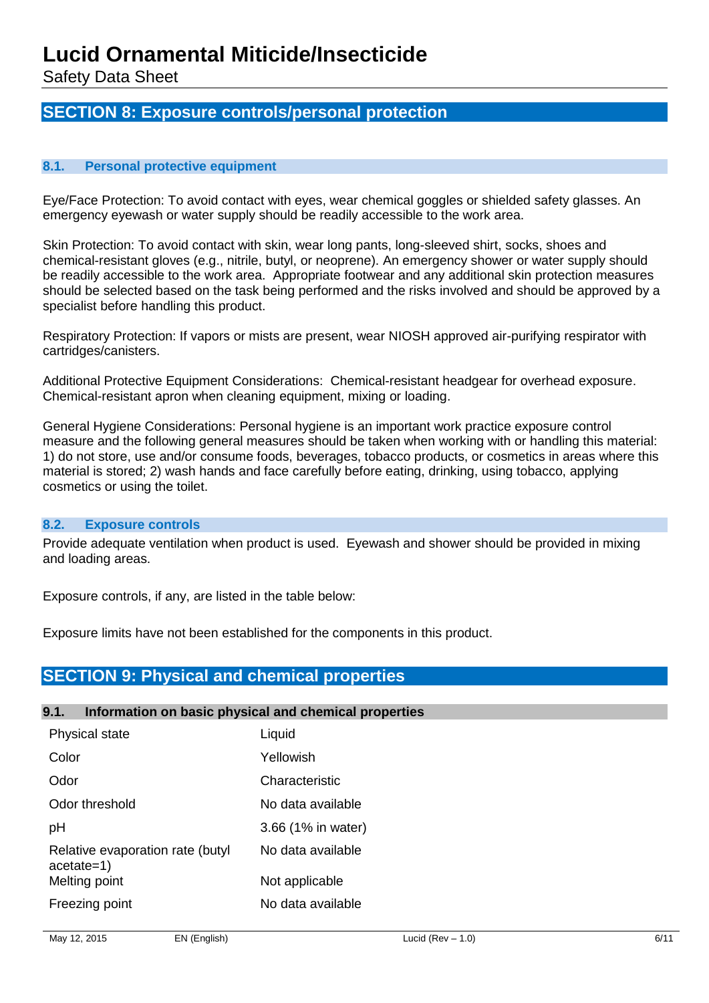Safety Data Sheet

## **SECTION 8: Exposure controls/personal protection**

#### **8.1. Personal protective equipment**

Eye/Face Protection: To avoid contact with eyes, wear chemical goggles or shielded safety glasses. An emergency eyewash or water supply should be readily accessible to the work area.

Skin Protection: To avoid contact with skin, wear long pants, long-sleeved shirt, socks, shoes and chemical-resistant gloves (e.g., nitrile, butyl, or neoprene). An emergency shower or water supply should be readily accessible to the work area. Appropriate footwear and any additional skin protection measures should be selected based on the task being performed and the risks involved and should be approved by a specialist before handling this product.

Respiratory Protection: If vapors or mists are present, wear NIOSH approved air-purifying respirator with cartridges/canisters.

Additional Protective Equipment Considerations: Chemical-resistant headgear for overhead exposure. Chemical-resistant apron when cleaning equipment, mixing or loading.

General Hygiene Considerations: Personal hygiene is an important work practice exposure control measure and the following general measures should be taken when working with or handling this material: 1) do not store, use and/or consume foods, beverages, tobacco products, or cosmetics in areas where this material is stored; 2) wash hands and face carefully before eating, drinking, using tobacco, applying cosmetics or using the toilet.

#### **8.2. Exposure controls**

Provide adequate ventilation when product is used. Eyewash and shower should be provided in mixing and loading areas.

Exposure controls, if any, are listed in the table below:

Exposure limits have not been established for the components in this product.

## **SECTION 9: Physical and chemical properties**

#### **9.1. Information on basic physical and chemical properties**

| Physical state                                   | Liquid             |
|--------------------------------------------------|--------------------|
| Color                                            | Yellowish          |
| Odor                                             | Characteristic     |
| Odor threshold                                   | No data available  |
| рH                                               | 3.66 (1% in water) |
| Relative evaporation rate (butyl<br>$acetate=1)$ | No data available  |
| Melting point                                    | Not applicable     |
| Freezing point                                   | No data available  |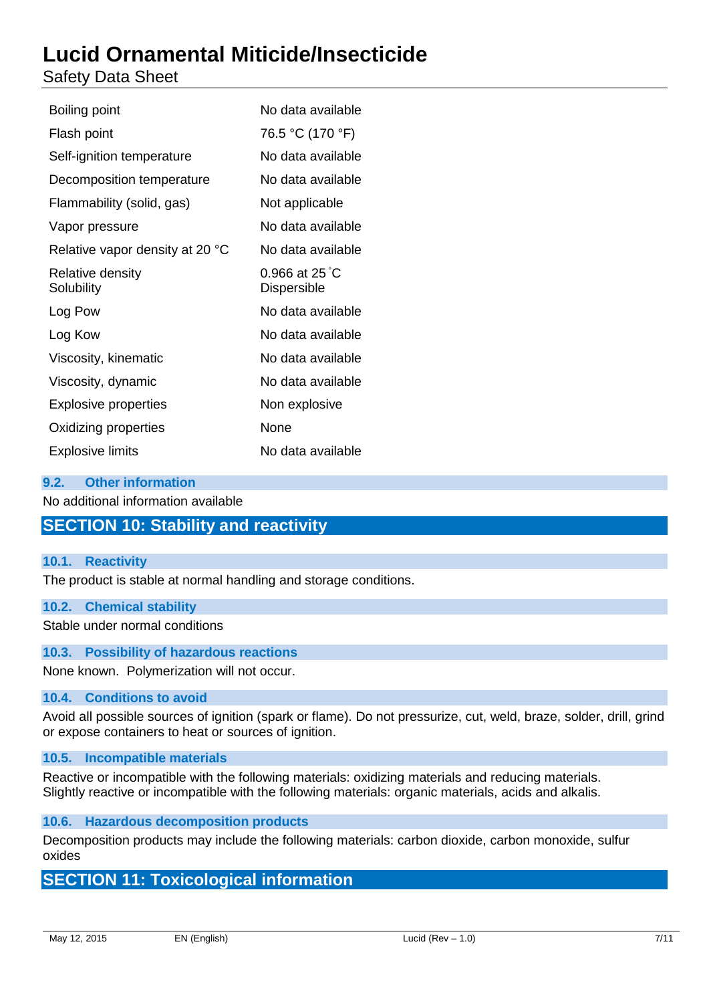## Safety Data Sheet

| Boiling point                   | No data available                      |
|---------------------------------|----------------------------------------|
| Flash point                     | 76.5 °C (170 °F)                       |
| Self-ignition temperature       | No data available                      |
| Decomposition temperature       | No data available                      |
| Flammability (solid, gas)       | Not applicable                         |
| Vapor pressure                  | No data available                      |
| Relative vapor density at 20 °C | No data available                      |
| Relative density<br>Solubility  | 0.966 at $25^{\circ}$ C<br>Dispersible |
| Log Pow                         | No data available                      |
| Log Kow                         | No data available                      |
| Viscosity, kinematic            | No data available                      |
| Viscosity, dynamic              | No data available                      |
| <b>Explosive properties</b>     | Non explosive                          |
| Oxidizing properties            | None                                   |
| <b>Explosive limits</b>         | No data available                      |

#### **9.2. Other information**

No additional information available

## **SECTION 10: Stability and reactivity**

#### **10.1. Reactivity**

The product is stable at normal handling and storage conditions.

#### **10.2. Chemical stability**

Stable under normal conditions

#### **10.3. Possibility of hazardous reactions**

None known. Polymerization will not occur.

#### **10.4. Conditions to avoid**

Avoid all possible sources of ignition (spark or flame). Do not pressurize, cut, weld, braze, solder, drill, grind or expose containers to heat or sources of ignition.

#### **10.5. Incompatible materials**

Reactive or incompatible with the following materials: oxidizing materials and reducing materials. Slightly reactive or incompatible with the following materials: organic materials, acids and alkalis.

**10.6. Hazardous decomposition products**

Decomposition products may include the following materials: carbon dioxide, carbon monoxide, sulfur oxides

## **SECTION 11: Toxicological information**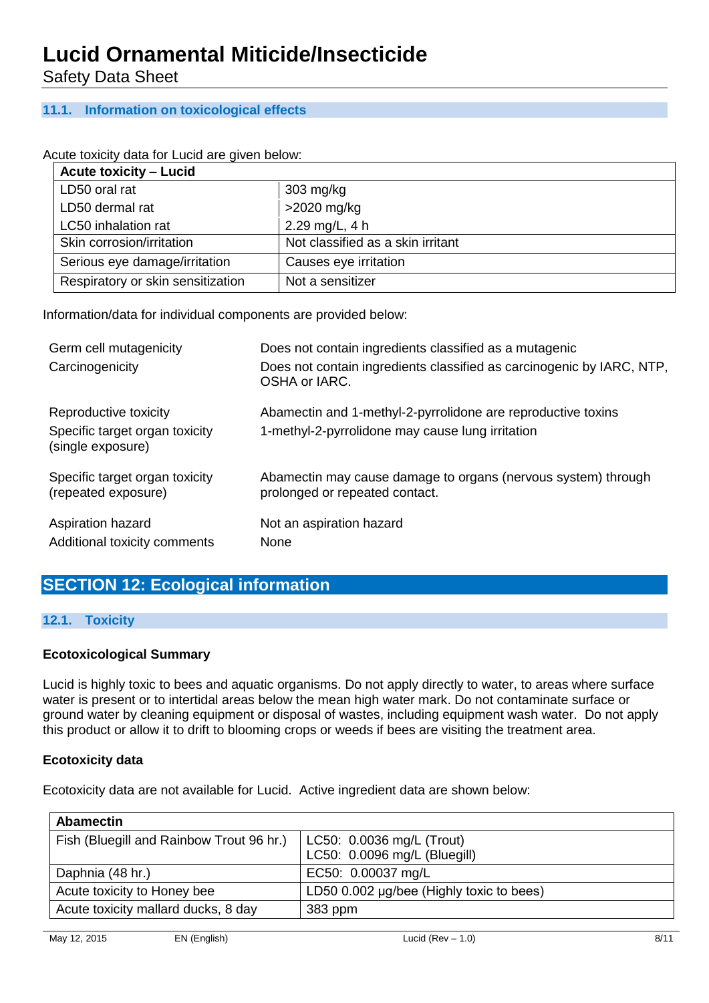Safety Data Sheet

### **11.1. Information on toxicological effects**

#### Acute toxicity data for Lucid are given below:

| <b>Acute toxicity - Lucid</b>     |                                   |
|-----------------------------------|-----------------------------------|
| LD50 oral rat                     | $303 \text{ mg/kg}$               |
| LD50 dermal rat                   | $>2020$ mg/kg                     |
| LC50 inhalation rat               | 2.29 mg/L, $4 h$                  |
| Skin corrosion/irritation         | Not classified as a skin irritant |
| Serious eye damage/irritation     | Causes eye irritation             |
| Respiratory or skin sensitization | Not a sensitizer                  |

Information/data for individual components are provided below:

| Germ cell mutagenicity                                | Does not contain ingredients classified as a mutagenic                                          |
|-------------------------------------------------------|-------------------------------------------------------------------------------------------------|
| Carcinogenicity                                       | Does not contain ingredients classified as carcinogenic by IARC, NTP,<br>OSHA or IARC.          |
| Reproductive toxicity                                 | Abamectin and 1-methyl-2-pyrrolidone are reproductive toxins                                    |
| Specific target organ toxicity<br>(single exposure)   | 1-methyl-2-pyrrolidone may cause lung irritation                                                |
| Specific target organ toxicity<br>(repeated exposure) | Abamectin may cause damage to organs (nervous system) through<br>prolonged or repeated contact. |
| Aspiration hazard<br>Additional toxicity comments     | Not an aspiration hazard<br>None                                                                |

## **SECTION 12: Ecological information**

#### **12.1. Toxicity**

#### **Ecotoxicological Summary**

Lucid is highly toxic to bees and aquatic organisms. Do not apply directly to water, to areas where surface water is present or to intertidal areas below the mean high water mark. Do not contaminate surface or ground water by cleaning equipment or disposal of wastes, including equipment wash water. Do not apply this product or allow it to drift to blooming crops or weeds if bees are visiting the treatment area.

#### **Ecotoxicity data**

Ecotoxicity data are not available for Lucid. Active ingredient data are shown below:

| <b>Abamectin</b>                         |                                          |
|------------------------------------------|------------------------------------------|
| Fish (Bluegill and Rainbow Trout 96 hr.) | LC50: 0.0036 mg/L (Trout)                |
|                                          | LC50: 0.0096 mg/L (Bluegill)             |
| Daphnia (48 hr.)                         | EC50: 0.00037 mg/L                       |
| Acute toxicity to Honey bee              | LD50 0.002 µg/bee (Highly toxic to bees) |
| Acute toxicity mallard ducks, 8 day      | 383 ppm                                  |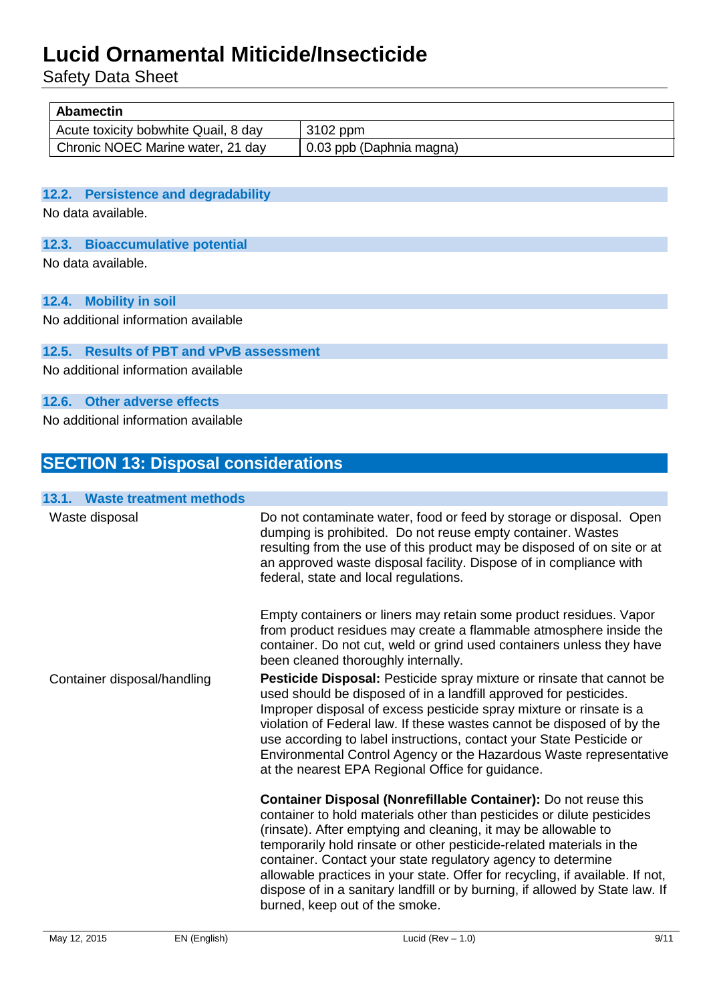Safety Data Sheet

| <b>Abamectin</b>                     |                          |  |
|--------------------------------------|--------------------------|--|
| Acute toxicity bobwhite Quail, 8 day | 3102 ppm                 |  |
| Chronic NOEC Marine water, 21 day    | 0.03 ppb (Daphnia magna) |  |

#### **12.2. Persistence and degradability**

No data available.

### **12.3. Bioaccumulative potential**

No data available.

#### **12.4. Mobility in soil**

No additional information available

### **12.5. Results of PBT and vPvB assessment**

No additional information available

#### **12.6. Other adverse effects**

No additional information available

## **SECTION 13: Disposal considerations**

| 13.1. Waste treatment methods |                                                                                                                                                                                                                                                                                                                                                                                                                                                                                                                                                        |
|-------------------------------|--------------------------------------------------------------------------------------------------------------------------------------------------------------------------------------------------------------------------------------------------------------------------------------------------------------------------------------------------------------------------------------------------------------------------------------------------------------------------------------------------------------------------------------------------------|
| Waste disposal                | Do not contaminate water, food or feed by storage or disposal. Open<br>dumping is prohibited. Do not reuse empty container. Wastes<br>resulting from the use of this product may be disposed of on site or at<br>an approved waste disposal facility. Dispose of in compliance with<br>federal, state and local regulations.                                                                                                                                                                                                                           |
|                               | Empty containers or liners may retain some product residues. Vapor<br>from product residues may create a flammable atmosphere inside the<br>container. Do not cut, weld or grind used containers unless they have<br>been cleaned thoroughly internally.                                                                                                                                                                                                                                                                                               |
| Container disposal/handling   | Pesticide Disposal: Pesticide spray mixture or rinsate that cannot be<br>used should be disposed of in a landfill approved for pesticides.<br>Improper disposal of excess pesticide spray mixture or rinsate is a<br>violation of Federal law. If these wastes cannot be disposed of by the<br>use according to label instructions, contact your State Pesticide or<br>Environmental Control Agency or the Hazardous Waste representative<br>at the nearest EPA Regional Office for guidance.                                                          |
|                               | Container Disposal (Nonrefillable Container): Do not reuse this<br>container to hold materials other than pesticides or dilute pesticides<br>(rinsate). After emptying and cleaning, it may be allowable to<br>temporarily hold rinsate or other pesticide-related materials in the<br>container. Contact your state regulatory agency to determine<br>allowable practices in your state. Offer for recycling, if available. If not,<br>dispose of in a sanitary landfill or by burning, if allowed by State law. If<br>burned, keep out of the smoke. |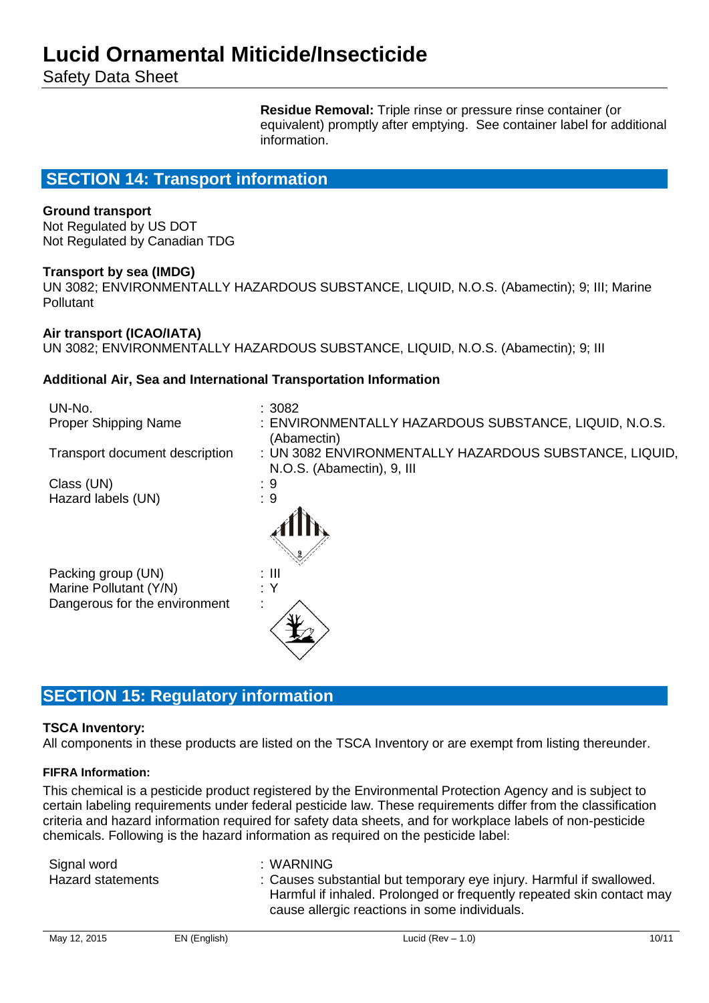Safety Data Sheet

**Residue Removal:** Triple rinse or pressure rinse container (or equivalent) promptly after emptying. See container label for additional information.

## **SECTION 14: Transport information**

#### **Ground transport**

Not Regulated by US DOT Not Regulated by Canadian TDG

#### **Transport by sea (IMDG)**

UN 3082; ENVIRONMENTALLY HAZARDOUS SUBSTANCE, LIQUID, N.O.S. (Abamectin); 9; III; Marine Pollutant

#### **Air transport (ICAO/IATA)**

UN 3082; ENVIRONMENTALLY HAZARDOUS SUBSTANCE, LIQUID, N.O.S. (Abamectin); 9; III

#### **Additional Air, Sea and International Transportation Information**

| UN-No.                         | :3082                                                                                |
|--------------------------------|--------------------------------------------------------------------------------------|
| <b>Proper Shipping Name</b>    | : ENVIRONMENTALLY HAZARDOUS SUBSTANCE, LIQUID, N.O.S.<br>(Abamectin)                 |
| Transport document description | : UN 3082 ENVIRONMENTALLY HAZARDOUS SUBSTANCE, LIQUID,<br>N.O.S. (Abamectin), 9, III |
| Class (UN)                     | : 9                                                                                  |
| Hazard labels (UN)             | :9                                                                                   |
|                                |                                                                                      |
| Packing group (UN)             | : III                                                                                |
| Marine Pollutant (Y/N)         | : Y                                                                                  |
| Dangerous for the environment  |                                                                                      |

## **SECTION 15: Regulatory information**

#### **TSCA Inventory:**

All components in these products are listed on the TSCA Inventory or are exempt from listing thereunder.

#### **FIFRA Information:**

This chemical is a pesticide product registered by the Environmental Protection Agency and is subject to certain labeling requirements under federal pesticide law. These requirements differ from the classification criteria and hazard information required for safety data sheets, and for workplace labels of non-pesticide chemicals. Following is the hazard information as required on the pesticide label:

| Signal word              | :WARNING                                                              |
|--------------------------|-----------------------------------------------------------------------|
| <b>Hazard statements</b> | : Causes substantial but temporary eye injury. Harmful if swallowed.  |
|                          | Harmful if inhaled. Prolonged or frequently repeated skin contact may |
|                          | cause allergic reactions in some individuals.                         |